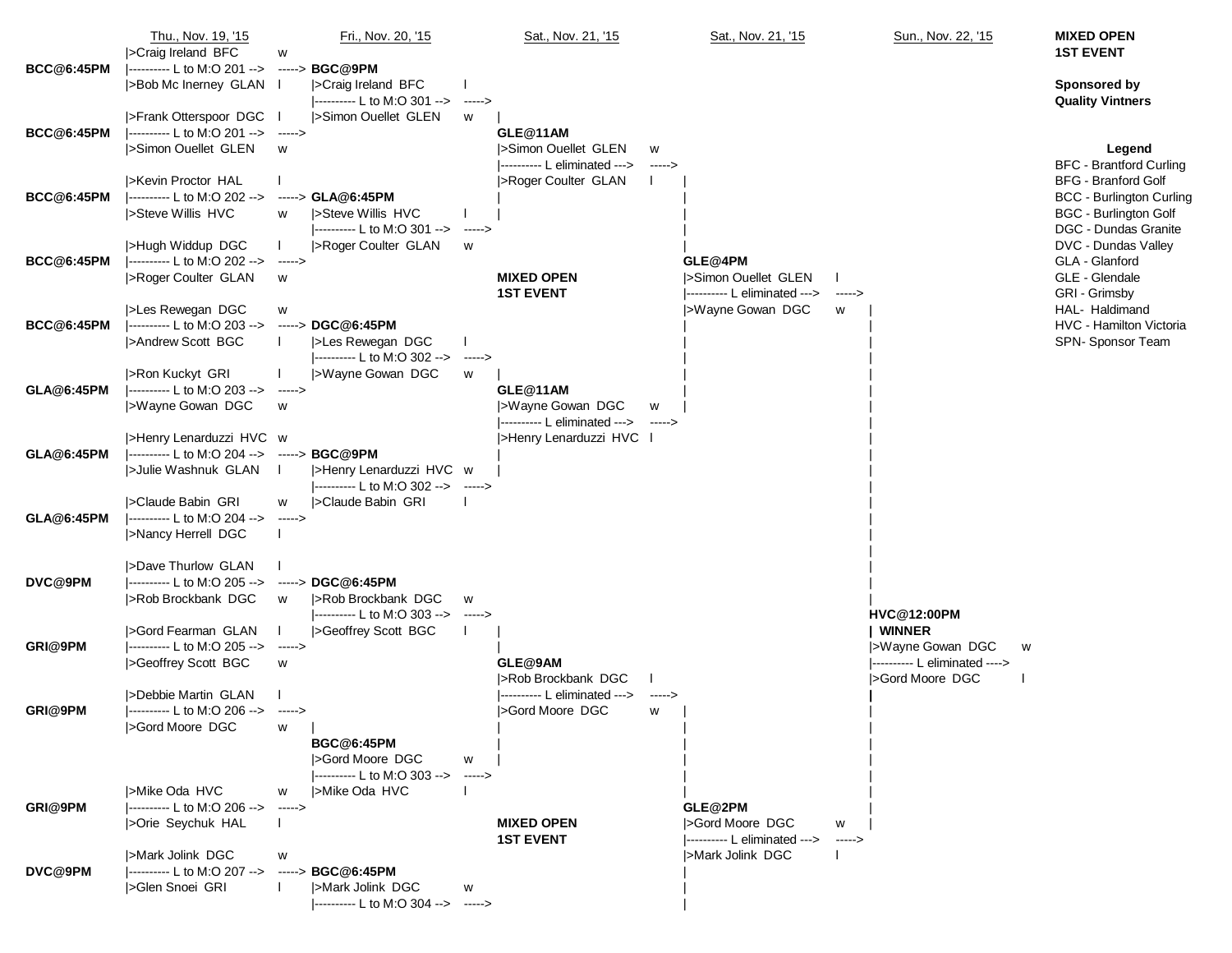|                   | Thu., Nov. 19, '15                                                 |               | Fri., Nov. 20, '15                          |               | Sat., Nov. 21, '15                                       |         | Sat., Nov. 21, '15                                  |               | Sun., Nov. 22, '15                      | <b>MIXED OPEN</b>                                            |
|-------------------|--------------------------------------------------------------------|---------------|---------------------------------------------|---------------|----------------------------------------------------------|---------|-----------------------------------------------------|---------------|-----------------------------------------|--------------------------------------------------------------|
|                   | >Craig Ireland BFC                                                 | w             |                                             |               |                                                          |         |                                                     |               |                                         | <b>1ST EVENT</b>                                             |
| <b>BCC@6:45PM</b> | ---------- L to M:O 201 --> -----> BGC@9PM<br>>Bob Mc Inerney GLAN |               | >Craig Ireland BFC                          |               |                                                          |         |                                                     |               |                                         | <b>Sponsored by</b>                                          |
|                   |                                                                    |               | ---------- L to M:O 301 -->                 | ------>       |                                                          |         |                                                     |               |                                         | <b>Quality Vintners</b>                                      |
|                   | >Frank Otterspoor DGC                                              |               | >Simon Ouellet GLEN                         | w             |                                                          |         |                                                     |               |                                         |                                                              |
| <b>BCC@6:45PM</b> | ---------- L to M:O 201 --> ----->                                 |               |                                             |               | GLE@11AM                                                 |         |                                                     |               |                                         |                                                              |
|                   | >Simon Ouellet GLEN                                                | W             |                                             |               | >Simon Ouellet GLEN                                      | W       |                                                     |               |                                         | Legend                                                       |
|                   | >Kevin Proctor HAL                                                 |               |                                             |               | ---------- L eliminated ---><br> >Roger Coulter GLAN     | $---$ > |                                                     |               |                                         | <b>BFC</b> - Brantford Curling<br><b>BFG - Branford Golf</b> |
| <b>BCC@6:45PM</b> | ----------- L to M:O 202 -->                                       |               | $---> GLA@6:45PM$                           |               |                                                          |         |                                                     |               |                                         | <b>BCC - Burlington Curling</b>                              |
|                   | Steve Willis HVC                                                   | w             | <b>I</b> >Steve Willis HVC                  |               |                                                          |         |                                                     |               |                                         | <b>BGC - Burlington Golf</b>                                 |
|                   |                                                                    |               | $ $ ---------- L to M:O 301 --> ----->      |               |                                                          |         |                                                     |               |                                         | DGC - Dundas Granite                                         |
|                   | >Hugh Widdup DGC                                                   | $\mathbf{I}$  | <b>I&gt;Roger Coulter GLAN</b>              | W             |                                                          |         |                                                     |               |                                         | DVC - Dundas Valley                                          |
| <b>BCC@6:45PM</b> | ---------- L to M:O 202 -->                                        | ----->        |                                             |               |                                                          |         | GLE@4PM                                             |               |                                         | GLA - Glanford                                               |
|                   | >Roger Coulter GLAN                                                | W             |                                             |               | <b>MIXED OPEN</b>                                        |         | Simon Ouellet GLEN<br> ---------- L eliminated ---> |               |                                         | GLE - Glendale                                               |
|                   | >Les Rewegan DGC                                                   | w             |                                             |               | <b>1ST EVENT</b>                                         |         | >Wayne Gowan DGC                                    | $--->$<br>W   |                                         | GRI - Grimsby<br>HAL- Haldimand                              |
| <b>BCC@6:45PM</b> | ---------- L to M:O 203 -->                                        |               | -----> DGC@6:45PM                           |               |                                                          |         |                                                     |               |                                         | HVC - Hamilton Victoria                                      |
|                   | <b>I</b> >Andrew Scott BGC                                         |               | >Les Rewegan DGC                            |               |                                                          |         |                                                     |               |                                         | SPN-Sponsor Team                                             |
|                   |                                                                    |               | --------- L to M:O 302 --> ----->           |               |                                                          |         |                                                     |               |                                         |                                                              |
|                   | >Ron Kuckyt GRI                                                    |               | >Wayne Gowan DGC                            | W             |                                                          |         |                                                     |               |                                         |                                                              |
| <b>GLA@6:45PM</b> | ---------- L to M:O 203 --> ----->                                 |               |                                             |               | GLE@11AM                                                 |         |                                                     |               |                                         |                                                              |
|                   | >Wayne Gowan DGC                                                   | W             |                                             |               | >Wayne Gowan DGC<br>---------- L eliminated ---> ------> | W       |                                                     |               |                                         |                                                              |
|                   | >Henry Lenarduzzi HVC w                                            |               |                                             |               | >Henry Lenarduzzi HVC                                    |         |                                                     |               |                                         |                                                              |
| GLA@6:45PM        | ---------- L to M:O 204 --> -----> BGC@9PM                         |               |                                             |               |                                                          |         |                                                     |               |                                         |                                                              |
|                   | >Julie Washnuk GLAN                                                |               | >Henry Lenarduzzi HVC w                     |               |                                                          |         |                                                     |               |                                         |                                                              |
|                   |                                                                    |               | ---------- L to M:O 302 --> ----->          |               |                                                          |         |                                                     |               |                                         |                                                              |
|                   | Sclaude Babin GRI                                                  | W             | >Claude Babin GRI                           |               |                                                          |         |                                                     |               |                                         |                                                              |
| GLA@6:45PM        | ---------- L to M:O 204 --><br> >Nancy Herrell DGC                 | $  >$         |                                             |               |                                                          |         |                                                     |               |                                         |                                                              |
|                   |                                                                    |               |                                             |               |                                                          |         |                                                     |               |                                         |                                                              |
|                   | >Dave Thurlow GLAN                                                 |               |                                             |               |                                                          |         |                                                     |               |                                         |                                                              |
| DVC@9PM           | ---------- L to M:O 205 -->                                        |               | -----> DGC@6:45PM                           |               |                                                          |         |                                                     |               |                                         |                                                              |
|                   | >Rob Brockbank DGC                                                 | W             | >Rob Brockbank DGC                          | W             |                                                          |         |                                                     |               |                                         |                                                              |
|                   |                                                                    |               | ---------- L to M:O 303 -->                 | ------>       |                                                          |         |                                                     |               | <b>HVC@12:00PM</b>                      |                                                              |
| GRI@9PM           | SGord Fearman GLAN<br> ---------- L to M:O 205 --> ----->          |               | >Geoffrey Scott BGC                         |               |                                                          |         |                                                     |               | <b>WINNER</b><br> >Wayne Gowan DGC<br>w |                                                              |
|                   | >Geoffrey Scott BGC                                                | W             |                                             |               | GLE@9AM                                                  |         |                                                     |               | ---------- L eliminated ---->           |                                                              |
|                   |                                                                    |               |                                             |               | I>Rob Brockbank DGC                                      |         |                                                     |               | Sord Moore DGC                          |                                                              |
| GRI@9PM           | >Debbie Martin GLAN                                                |               |                                             |               | ---------- L eliminated --->                             | $--- >$ |                                                     |               |                                         |                                                              |
|                   | --------- L to M:O 206 --> ----->                                  |               |                                             |               | SGord Moore DGC                                          | w       |                                                     |               |                                         |                                                              |
|                   | >Gord Moore DGC                                                    | w l           |                                             |               |                                                          |         |                                                     |               |                                         |                                                              |
|                   |                                                                    |               | <b>BGC@6:45PM</b><br><b>SGord Moore DGC</b> | W             |                                                          |         |                                                     |               |                                         |                                                              |
|                   |                                                                    |               | ---------- L to M:O 303 -->                 | $\rightarrow$ |                                                          |         |                                                     |               |                                         |                                                              |
| GRI@9PM           | >Mike Oda HVC                                                      | w             | >Mike Oda HVC                               |               |                                                          |         |                                                     |               |                                         |                                                              |
|                   | ----------- L to M:O 206 -->                                       | $\rightarrow$ |                                             |               |                                                          |         | GLE@2PM                                             |               |                                         |                                                              |
|                   | >Orie Seychuk HAL                                                  |               |                                             |               | <b>MIXED OPEN</b>                                        |         | SGord Moore DGC                                     | w             |                                         |                                                              |
|                   |                                                                    |               |                                             |               | <b>1ST EVENT</b>                                         |         | ---------- L eliminated --->                        | $\rightarrow$ |                                         |                                                              |
| DVC@9PM           | >Mark Jolink DGC<br> ---------- L to M:O 207 -->                   | w             | -----> BGC@6:45PM                           |               |                                                          |         | >Mark Jolink DGC                                    |               |                                         |                                                              |
|                   | Solen Snoei GRI                                                    |               | >Mark Jolink DGC                            | w             |                                                          |         |                                                     |               |                                         |                                                              |
|                   |                                                                    |               | --------- L to M:O 304 --> ----->           |               |                                                          |         |                                                     |               |                                         |                                                              |